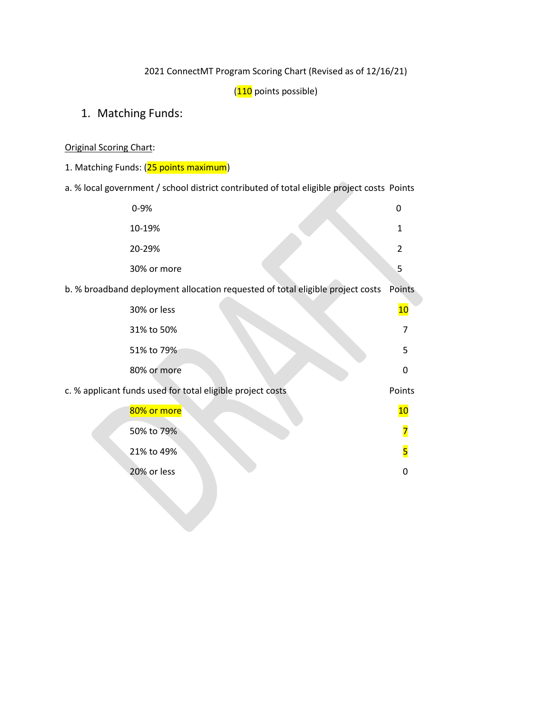2021 ConnectMT Program Scoring Chart (Revised as of 12/16/21)

(110 points possible)

1. Matching Funds:

Original Scoring Chart:

1. Matching Funds: (25 points maximum)

a. % local government / school district contributed of total eligible project costs Points

| $0 - 9%$    |  |
|-------------|--|
| 10-19%      |  |
| 20-29%      |  |
| 30% or more |  |

b. % broadband deployment allocation requested of total eligible project costs Points

| 30% or less                                                | 10       |
|------------------------------------------------------------|----------|
| 31% to 50%                                                 |          |
| 51% to 79%                                                 | 5        |
| 80% or more                                                | $\Omega$ |
| c. % applicant funds used for total eligible project costs |          |
| 80% or more                                                | 10       |
| 50% to 79%                                                 |          |
| 21% to 49%                                                 | 5        |
| 20% or less                                                | O        |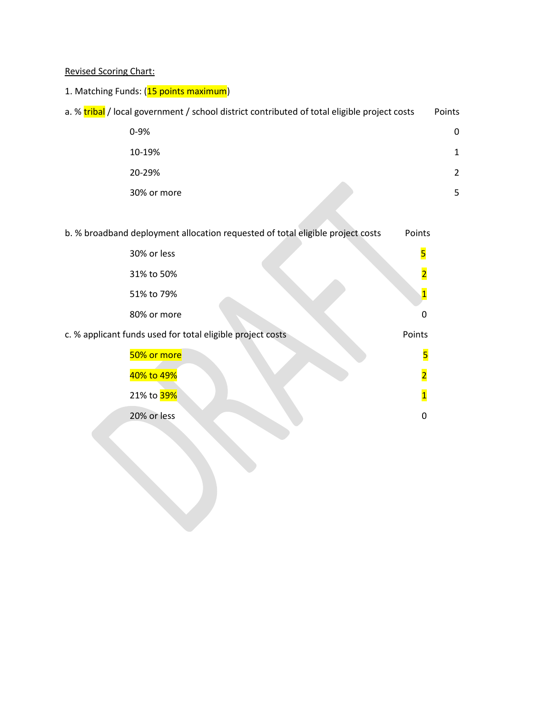Revised Scoring Chart:

|  | 1. Matching Funds: (15 points maximum) |
|--|----------------------------------------|
|--|----------------------------------------|

| a. % tribal / local government / school district contributed of total eligible project costs | Points |
|----------------------------------------------------------------------------------------------|--------|
| $0 - 9%$                                                                                     | 0      |
| 10-19%                                                                                       | 1      |
| 20-29%                                                                                       | 2      |
| 30% or more                                                                                  | 5.     |
|                                                                                              |        |
| b. % broadband deployment allocation requested of total eligible project costs<br>Points     |        |
|                                                                                              |        |

| 30% or less                                                | 5                       |
|------------------------------------------------------------|-------------------------|
| 31% to 50%                                                 | $\overline{\mathbf{2}}$ |
| 51% to 79%                                                 | $\overline{\mathbf{1}}$ |
| 80% or more                                                | 0                       |
| c. % applicant funds used for total eligible project costs | Points                  |
| 50% or more                                                | 5                       |
| 40% to 49%                                                 | $\overline{\mathbf{2}}$ |
| 21% to 39%                                                 | $\overline{\mathbf{1}}$ |
| 20% or less                                                | 0                       |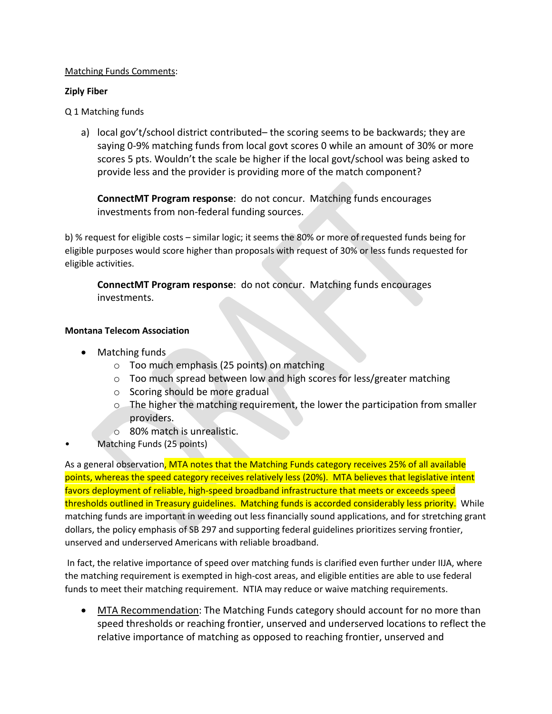### Matching Funds Comments:

### **Ziply Fiber**

Q 1 Matching funds

a) local gov't/school district contributed– the scoring seems to be backwards; they are saying 0-9% matching funds from local govt scores 0 while an amount of 30% or more scores 5 pts. Wouldn't the scale be higher if the local govt/school was being asked to provide less and the provider is providing more of the match component?

**ConnectMT Program response**: do not concur. Matching funds encourages investments from non-federal funding sources.

b) % request for eligible costs – similar logic; it seems the 80% or more of requested funds being for eligible purposes would score higher than proposals with request of 30% or less funds requested for eligible activities.

**ConnectMT Program response**: do not concur. Matching funds encourages investments.

# **Montana Telecom Association**

- Matching funds
	- o Too much emphasis (25 points) on matching
	- o Too much spread between low and high scores for less/greater matching
	- o Scoring should be more gradual
	- $\circ$  The higher the matching requirement, the lower the participation from smaller providers.
	- o 80% match is unrealistic.
- Matching Funds (25 points)

As a general observation, MTA notes that the Matching Funds category receives 25% of all available points, whereas the speed category receives relatively less (20%). MTA believes that legislative intent favors deployment of reliable, high-speed broadband infrastructure that meets or exceeds speed thresholds outlined in Treasury guidelines. Matching funds is accorded considerably less priority. While matching funds are important in weeding out less financially sound applications, and for stretching grant dollars, the policy emphasis of SB 297 and supporting federal guidelines prioritizes serving frontier, unserved and underserved Americans with reliable broadband.

In fact, the relative importance of speed over matching funds is clarified even further under IIJA, where the matching requirement is exempted in high-cost areas, and eligible entities are able to use federal funds to meet their matching requirement. NTIA may reduce or waive matching requirements.

• MTA Recommendation: The Matching Funds category should account for no more than speed thresholds or reaching frontier, unserved and underserved locations to reflect the relative importance of matching as opposed to reaching frontier, unserved and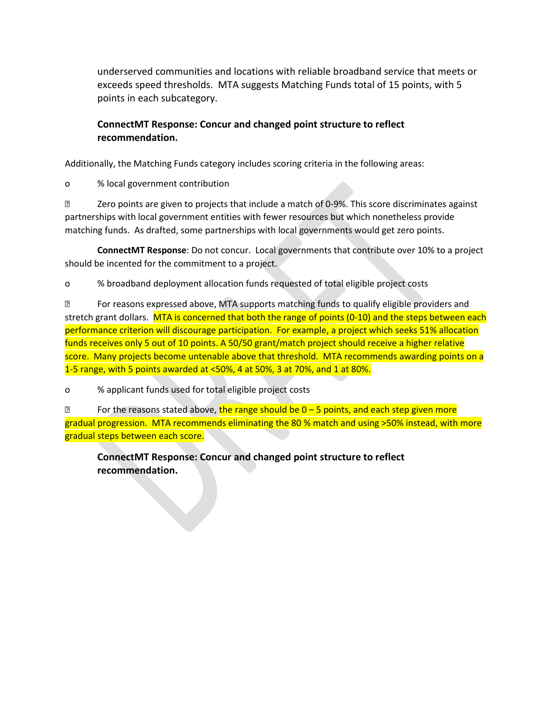underserved communities and locations with reliable broadband service that meets or exceeds speed thresholds. MTA suggests Matching Funds total of 15 points, with 5 points in each subcategory.

# **ConnectMT Response: Concur and changed point structure to reflect recommendation.**

Additionally, the Matching Funds category includes scoring criteria in the following areas:

o % local government contribution

**Zero points are given to projects that include a match of 0-9%. This score discriminates against** partnerships with local government entities with fewer resources but which nonetheless provide matching funds. As drafted, some partnerships with local governments would get zero points.

**ConnectMT Response**: Do not concur. Local governments that contribute over 10% to a project should be incented for the commitment to a project.

o % broadband deployment allocation funds requested of total eligible project costs

 For reasons expressed above, MTA supports matching funds to qualify eligible providers and stretch grant dollars. MTA is concerned that both the range of points (0-10) and the steps between each performance criterion will discourage participation. For example, a project which seeks 51% allocation funds receives only 5 out of 10 points. A 50/50 grant/match project should receive a higher relative score. Many projects become untenable above that threshold. MTA recommends awarding points on a 1-5 range, with 5 points awarded at <50%, 4 at 50%, 3 at 70%, and 1 at 80%.

o % applicant funds used for total eligible project costs

**E** For the reasons stated above, the range should be  $0 - 5$  points, and each step given more gradual progression. MTA recommends eliminating the 80 % match and using >50% instead, with more gradual steps between each score.

**ConnectMT Response: Concur and changed point structure to reflect recommendation.**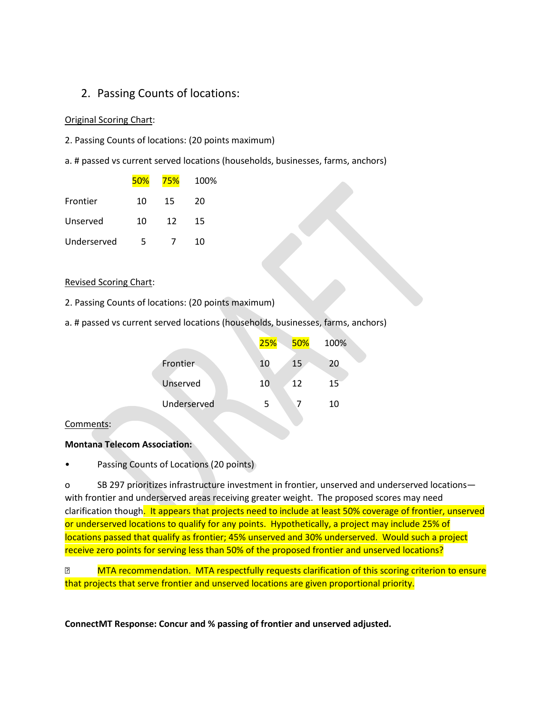# 2. Passing Counts of locations:

#### Original Scoring Chart:

- 2. Passing Counts of locations: (20 points maximum)
- a. # passed vs current served locations (households, businesses, farms, anchors)

|             | 50% | 75% | 100% |
|-------------|-----|-----|------|
| Frontier    | 10  | 15  | 20   |
| Unserved    | 10  | 12  | 15   |
| Underserved | 5   |     | 10   |

### Revised Scoring Chart:

- 2. Passing Counts of locations: (20 points maximum)
- a. # passed vs current served locations (households, businesses, farms, anchors)

|             | 25% | 50% | 100% |
|-------------|-----|-----|------|
| Frontier    | 10  | 15  | 20   |
| Unserved    | 10  | 12  | 15   |
| Underserved | 5   |     | 10   |
|             |     |     |      |

### Comments:

### **Montana Telecom Association:**

Passing Counts of Locations (20 points)

o SB 297 prioritizes infrastructure investment in frontier, unserved and underserved locations with frontier and underserved areas receiving greater weight. The proposed scores may need clarification though. It appears that projects need to include at least 50% coverage of frontier, unserved or underserved locations to qualify for any points. Hypothetically, a project may include 25% of locations passed that qualify as frontier; 45% unserved and 30% underserved. Would such a project receive zero points for serving less than 50% of the proposed frontier and unserved locations?

**MTA recommendation. MTA respectfully requests clarification of this scoring criterion to ensure** that projects that serve frontier and unserved locations are given proportional priority.

**ConnectMT Response: Concur and % passing of frontier and unserved adjusted.**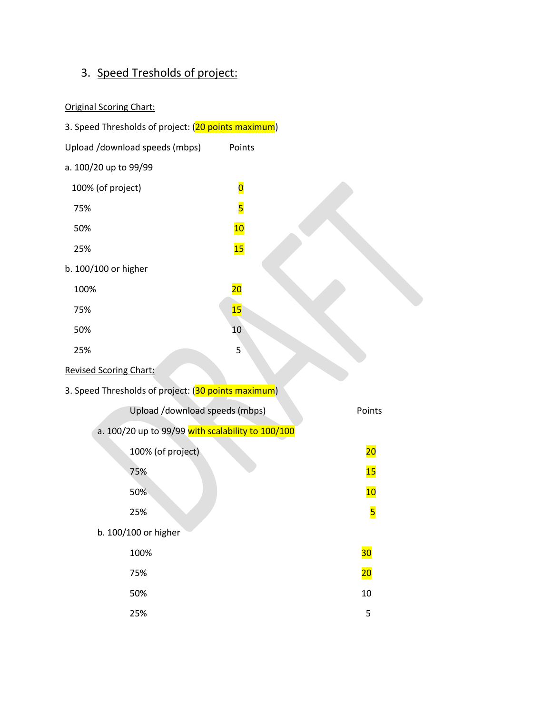# 3. Speed Tresholds of project:

# Original Scoring Chart:

| 3. Speed Thresholds of project: (20 points maximum) |                         |                 |  |
|-----------------------------------------------------|-------------------------|-----------------|--|
| Upload /download speeds (mbps)                      | Points                  |                 |  |
| a. 100/20 up to 99/99                               |                         |                 |  |
| 100% (of project)                                   | $\overline{\mathbf{0}}$ |                 |  |
| 75%                                                 | 5                       |                 |  |
| 50%                                                 | 10                      |                 |  |
| 25%                                                 | 15                      |                 |  |
| b. 100/100 or higher                                |                         |                 |  |
| 100%                                                | $\overline{20}$         |                 |  |
| 75%                                                 | 15                      |                 |  |
| 50%                                                 | 10                      |                 |  |
| 25%                                                 | 5                       |                 |  |
| <b>Revised Scoring Chart:</b>                       |                         |                 |  |
| 3. Speed Thresholds of project: (30 points maximum) |                         |                 |  |
| Upload /download speeds (mbps)                      |                         | Points          |  |
| a. 100/20 up to 99/99 with scalability to 100/100   |                         |                 |  |
| 100% (of project)                                   |                         | 20              |  |
| 75%                                                 |                         | 15              |  |
| 50%                                                 |                         | 10              |  |
| 25%                                                 |                         | <mark>5</mark>  |  |
| b. 100/100 or higher                                |                         |                 |  |
| 100%                                                |                         | 30              |  |
| 75%                                                 |                         | $\overline{20}$ |  |
| 50%                                                 |                         | 10              |  |
| 25%                                                 |                         | 5               |  |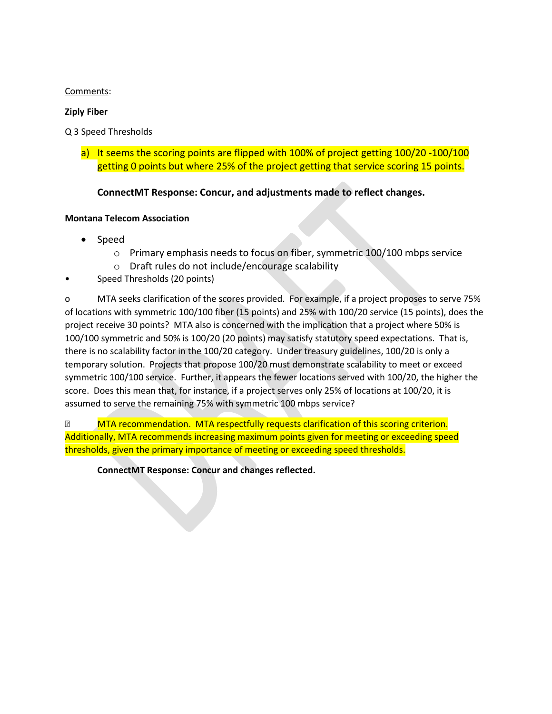# Comments:

### **Ziply Fiber**

Q 3 Speed Thresholds

a) It seems the scoring points are flipped with 100% of project getting 100/20 -100/100 getting 0 points but where 25% of the project getting that service scoring 15 points.

# **ConnectMT Response: Concur, and adjustments made to reflect changes.**

### **Montana Telecom Association**

- Speed
	- o Primary emphasis needs to focus on fiber, symmetric 100/100 mbps service
	- o Draft rules do not include/encourage scalability
- Speed Thresholds (20 points)

o MTA seeks clarification of the scores provided. For example, if a project proposes to serve 75% of locations with symmetric 100/100 fiber (15 points) and 25% with 100/20 service (15 points), does the project receive 30 points? MTA also is concerned with the implication that a project where 50% is 100/100 symmetric and 50% is 100/20 (20 points) may satisfy statutory speed expectations. That is, there is no scalability factor in the 100/20 category. Under treasury guidelines, 100/20 is only a temporary solution. Projects that propose 100/20 must demonstrate scalability to meet or exceed symmetric 100/100 service. Further, it appears the fewer locations served with 100/20, the higher the score. Does this mean that, for instance, if a project serves only 25% of locations at 100/20, it is assumed to serve the remaining 75% with symmetric 100 mbps service?

**MTA recommendation. MTA respectfully requests clarification of this scoring criterion.** Additionally, MTA recommends increasing maximum points given for meeting or exceeding speed thresholds, given the primary importance of meeting or exceeding speed thresholds.

**ConnectMT Response: Concur and changes reflected.**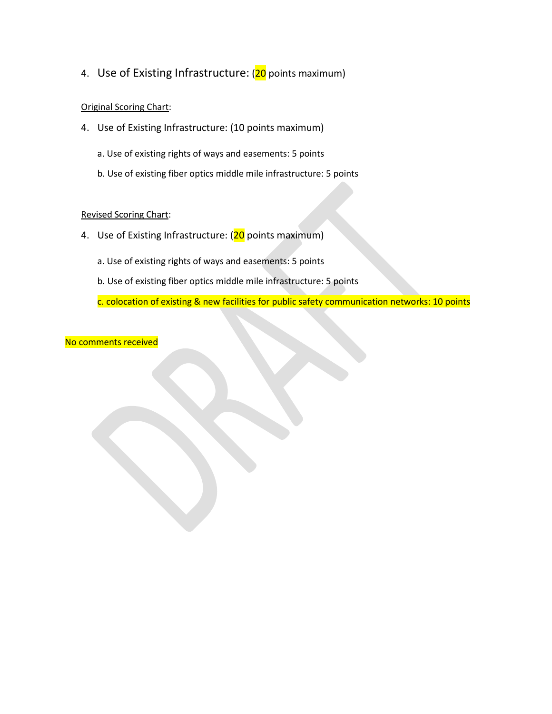4. Use of Existing Infrastructure: (20 points maximum)

### Original Scoring Chart:

- 4. Use of Existing Infrastructure: (10 points maximum)
	- a. Use of existing rights of ways and easements: 5 points
	- b. Use of existing fiber optics middle mile infrastructure: 5 points

### Revised Scoring Chart:

- 4. Use of Existing Infrastructure: (20 points maximum)
	- a. Use of existing rights of ways and easements: 5 points
	- b. Use of existing fiber optics middle mile infrastructure: 5 points

c. colocation of existing & new facilities for public safety communication networks: 10 points

No comments received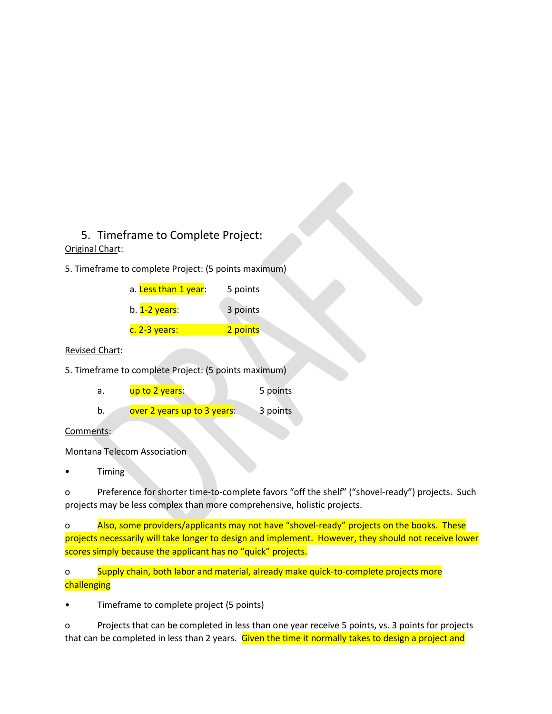# 5. Timeframe to Complete Project:

# Original Chart:

5. Timeframe to complete Project: (5 points maximum)

| a. Less than 1 year: | 5 points |
|----------------------|----------|
| b. 1-2 years:        | 3 points |
| c. 2-3 years:        | 2 points |

### Revised Chart:

5. Timeframe to complete Project: (5 points maximum)

| а. | up to 2 years: | 5 points |
|----|----------------|----------|
|----|----------------|----------|

b. over 2 years up to 3 years: 3 points

Comments:

Montana Telecom Association

• Timing

o Preference for shorter time-to-complete favors "off the shelf" ("shovel-ready") projects. Such projects may be less complex than more comprehensive, holistic projects.

o Also, some providers/applicants may not have "shovel-ready" projects on the books. These projects necessarily will take longer to design and implement. However, they should not receive lower scores simply because the applicant has no "quick" projects.

o Supply chain, both labor and material, already make quick-to-complete projects more **challenging** 

• Timeframe to complete project (5 points)

o Projects that can be completed in less than one year receive 5 points, vs. 3 points for projects that can be completed in less than 2 years. Given the time it normally takes to design a project and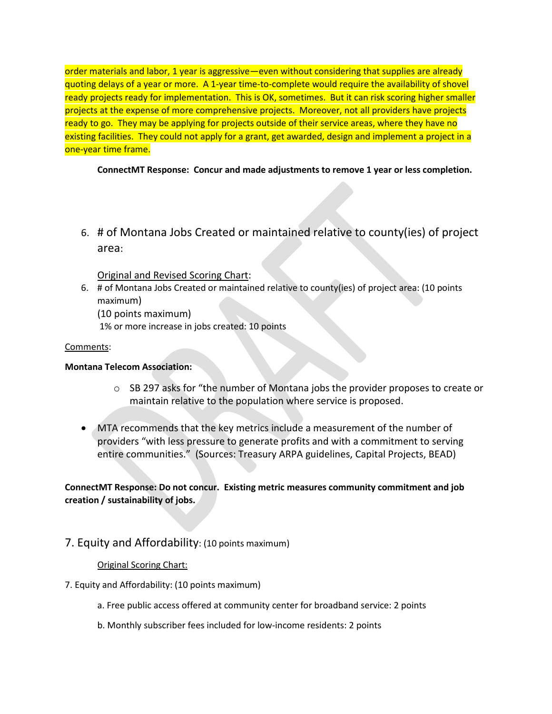order materials and labor, 1 year is aggressive—even without considering that supplies are already quoting delays of a year or more. A 1-year time-to-complete would require the availability of shovel ready projects ready for implementation. This is OK, sometimes. But it can risk scoring higher smaller projects at the expense of more comprehensive projects. Moreover, not all providers have projects ready to go. They may be applying for projects outside of their service areas, where they have no existing facilities. They could not apply for a grant, get awarded, design and implement a project in a one-year time frame.

**ConnectMT Response: Concur and made adjustments to remove 1 year or less completion.**

6. # of Montana Jobs Created or maintained relative to county(ies) of project area:

# Original and Revised Scoring Chart:

6. # of Montana Jobs Created or maintained relative to county(ies) of project area: (10 points maximum)

(10 points maximum)

1% or more increase in jobs created: 10 points

# Comments:

# **Montana Telecom Association:**

- $\circ$  SB 297 asks for "the number of Montana jobs the provider proposes to create or maintain relative to the population where service is proposed.
- MTA recommends that the key metrics include a measurement of the number of providers "with less pressure to generate profits and with a commitment to serving entire communities." (Sources: Treasury ARPA guidelines, Capital Projects, BEAD)

# **ConnectMT Response: Do not concur. Existing metric measures community commitment and job creation / sustainability of jobs.**

# 7. Equity and Affordability: (10 points maximum)

# Original Scoring Chart:

# 7. Equity and Affordability: (10 points maximum)

- a. Free public access offered at community center for broadband service: 2 points
- b. Monthly subscriber fees included for low-income residents: 2 points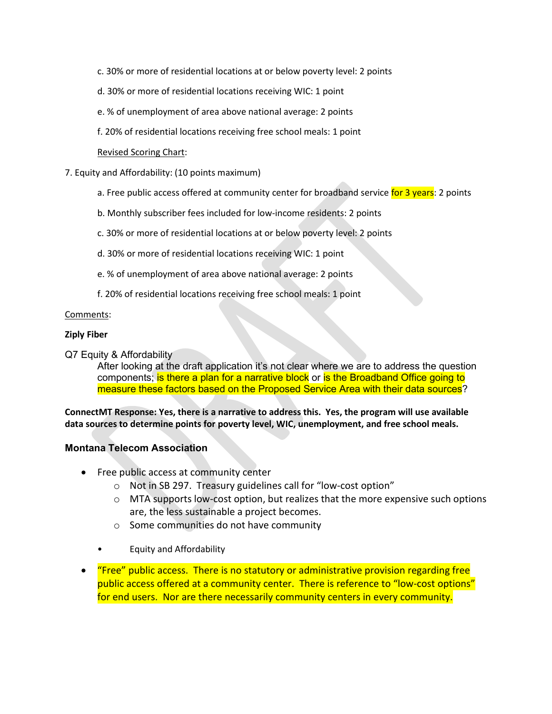- c. 30% or more of residential locations at or below poverty level: 2 points
- d. 30% or more of residential locations receiving WIC: 1 point
- e. % of unemployment of area above national average: 2 points
- f. 20% of residential locations receiving free school meals: 1 point

### Revised Scoring Chart:

- 7. Equity and Affordability: (10 points maximum)
	- a. Free public access offered at community center for broadband service for 3 years: 2 points
	- b. Monthly subscriber fees included for low-income residents: 2 points
	- c. 30% or more of residential locations at or below poverty level: 2 points
	- d. 30% or more of residential locations receiving WIC: 1 point
	- e. % of unemployment of area above national average: 2 points
	- f. 20% of residential locations receiving free school meals: 1 point

### Comments:

### **Ziply Fiber**

Q7 Equity & Affordability

After looking at the draft application it's not clear where we are to address the question components; is there a plan for a narrative block or is the Broadband Office going to measure these factors based on the Proposed Service Area with their data sources?

**ConnectMT Response: Yes, there is a narrative to address this. Yes, the program will use available data sources to determine points for poverty level, WIC, unemployment, and free school meals.**

# **Montana Telecom Association**

- Free public access at community center
	- o Not in SB 297. Treasury guidelines call for "low-cost option"
	- $\circ$  MTA supports low-cost option, but realizes that the more expensive such options are, the less sustainable a project becomes.
	- o Some communities do not have community
	- Equity and Affordability
- "Free" public access. There is no statutory or administrative provision regarding free public access offered at a community center. There is reference to "low-cost options" for end users. Nor are there necessarily community centers in every community.